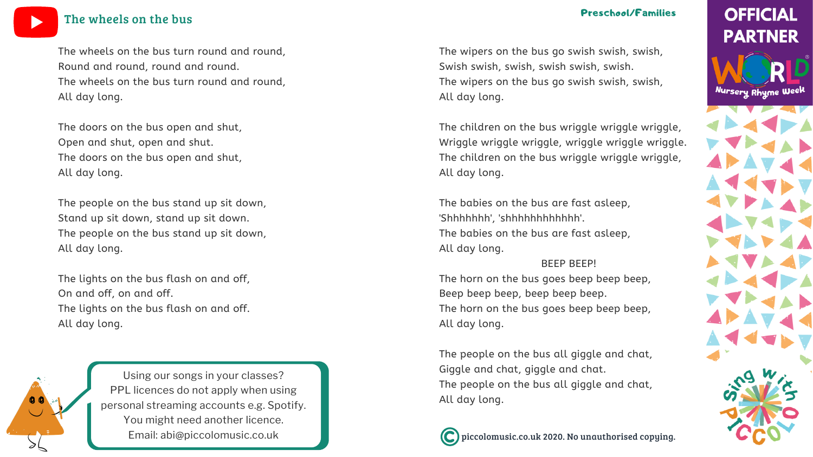piccolomusic.co.uk 2020. No unauthorised copying.

# **OFFICIAL PARTNER**

Nursery Rhyme Week



The wipers on the bus go swish swish, swish, Swish swish, swish, swish swish, swish. The wipers on the bus go swish swish, swish, All day long.

The babies on the bus are fast asleep, 'Shhhhhhh', 'shhhhhhhhhhh'.

The children on the bus wriggle wriggle wriggle, Wriggle wriggle wriggle, wriggle wriggle wriggle. The children on the bus wriggle wriggle wriggle, All day long.

The babies on the bus are fast asleep,

All day long.

BEEP BEEP! The horn on the bus goes beep beep beep, Beep beep beep, beep beep beep. The horn on the bus goes beep beep beep, All day long.

The people on the bus all giggle and chat, Giggle and chat, giggle and chat. The people on the bus all giggle and chat, All day long.



The wheels on the bus turn round and round, Round and round, round and round. The wheels on the bus turn round and round, All day long.

The doors on the bus open and shut, Open and shut, open and shut. The doors on the bus open and shut, All day long.

The people on the bus stand up sit down, Stand up sit down, stand up sit down. The people on the bus stand up sit down, All day long.

The lights on the bus flash on and off, On and off, on and off. The lights on the bus flash on and off. All day long.

Using our songs in your [classes?](https://bit.ly/LicensingYOUTUBE) PPL licences do not apply when using personal [streaming](https://bit.ly/LicensingYOUTUBE) accounts e.g. Spotify. You might need [another](https://bit.ly/LicensingYOUTUBE) licence. Email: [abi@piccolomusic.co.uk](https://bit.ly/LicensingYOUTUBE)

### The [wheels](https://bit.ly/WNRW2020YOUTUBE) on the bus

#### Preschool/Families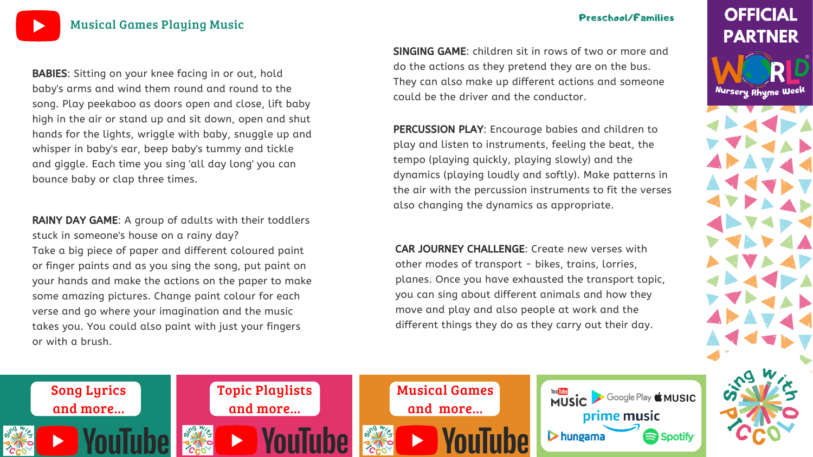[Musical](https://bit.ly/MusicalactivitiesYOUTUBE) Games Playing Music

#### Preschool/Families

# **OFFICIAL PARTNER**

Nursery Rhyme Week





BABIES: Sitting on your knee facing in or out, hold baby's arms and wind them round and round to the song. Play peekaboo as doors open and close, lift baby high in the air or stand up and sit down, open and shut hands for the lights, wriggle with baby, snuggle up and whisper in baby's ear, beep baby's tummy and tickle and giggle. Each time you sing 'all day long' you can bounce baby or clap three times.

SINGING GAME: children sit in rows of two or more and do the actions as they pretend they are on the bus. They can also make up different actions and someone could be the driver and the conductor.



RAINY DAY GAME: A group of adults with their toddlers stuck in someone's house on a rainy day? Take a big piece of paper and different coloured paint or finger paints and as you sing the song, put paint on your hands and make the actions on the paper to make some amazing pictures. Change paint colour for each verse and go where your imagination and the music takes you. You could also paint with just your fingers or with a brush.

PERCUSSION PLAY: Encourage babies and children to play and listen to instruments, feeling the beat, the tempo (playing quickly, playing slowly) and the dynamics (playing loudly and softly). Make patterns in the air with the percussion instruments to fit the verses also changing the dynamics as appropriate.

CAR JOURNEY CHALLENGE: Create new verses with other modes of transport - bikes, trains, lorries, planes. Once you have exhausted the transport topic, you can sing about different animals and how they move and play and also people at work and the different things they do as they carry out their day.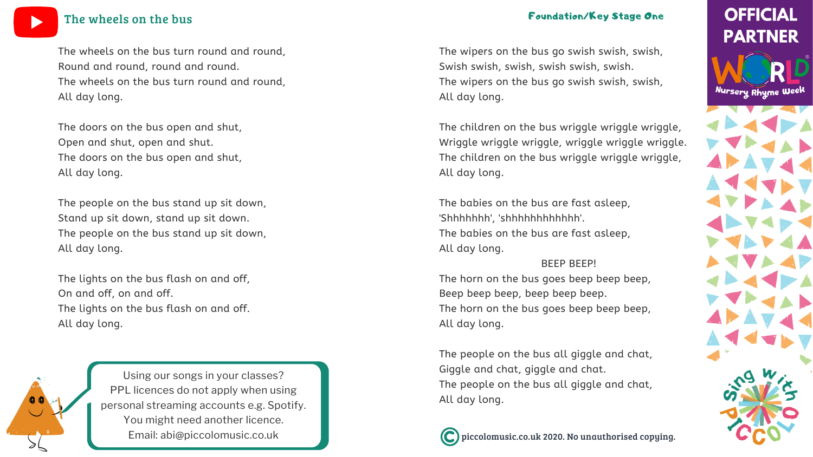piccolomusic.co.uk 2020. No unauthorised copying.

# **OFFICIAL PARTNER**

Nursery Rhyme Week



The wipers on the bus go swish swish, swish, Swish swish, swish, swish swish, swish. The wipers on the bus go swish swish, swish, All day long.

The babies on the bus are fast asleep, 'Shhhhhhh', 'shhhhhhhhhhh'.

The children on the bus wriggle wriggle wriggle, Wriggle wriggle wriggle, wriggle wriggle wriggle. The children on the bus wriggle wriggle wriggle, All day long.

The babies on the bus are fast asleep,

All day long.

BEEP BEEP! The horn on the bus goes beep beep beep, Beep beep beep, beep beep beep. The horn on the bus goes beep beep beep, All day long.

The people on the bus all giggle and chat, Giggle and chat, giggle and chat. The people on the bus all giggle and chat, All day long.



The wheels on the bus turn round and round, Round and round, round and round. The wheels on the bus turn round and round, All day long.

The doors on the bus open and shut, Open and shut, open and shut. The doors on the bus open and shut, All day long.

The people on the bus stand up sit down, Stand up sit down, stand up sit down. The people on the bus stand up sit down, All day long.

The lights on the bus flash on and off, On and off, on and off. The lights on the bus flash on and off. All day long.

> Using our songs in your [classes?](https://bit.ly/LicensingYOUTUBE) PPL licences do not apply when using personal [streaming](https://bit.ly/LicensingYOUTUBE) accounts e.g. Spotify. You might need [another](https://bit.ly/LicensingYOUTUBE) licence. Email: [abi@piccolomusic.co.uk](https://bit.ly/LicensingYOUTUBE)



### The [wheels](https://bit.ly/WNRW2020YOUTUBE) on the bus

#### Foundation/Key Stage One